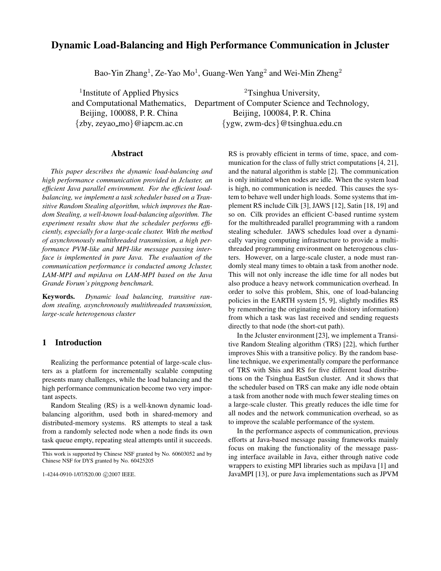# **Dynamic Load-Balancing and High Performance Communication in Jcluster**

Bao-Yin Zhang<sup>1</sup>, Ze-Yao Mo<sup>1</sup>, Guang-Wen Yang<sup>2</sup> and Wei-Min Zheng<sup>2</sup>

<sup>1</sup>Institute of Applied Physics  $2T\sin\theta$  2 University,

and Computational Mathematics, Department of Computer Science and Technology, Beijing, 100088, P. R. China Beijing, 100084, P. R. China {zby, zeyao mo}@iapcm.ac.cn {ygw, zwm-dcs}@tsinghua.edu.cn

#### **Abstract**

*This paper describes the dynamic load-balancing and high performance communication provided in Jcluster, an efficient Java parallel environment. For the efficient loadbalancing, we implement a task scheduler based on a Transitive Random Stealing algorithm, which improves the Random Stealing, a well-known load-balancing algorithm. The experiment results show that the scheduler performs efficiently, especially for a large-scale cluster. With the method of asynchronously multithreaded transmission, a high performance PVM-like and MPI-like message passing interface is implemented in pure Java. The evaluation of the communication performance is conducted among Jcluster, LAM-MPI and mpiJava on LAM-MPI based on the Java Grande Forum's pingpong benchmark.*

**Keywords.** *Dynamic load balancing, transitive random stealing, asynchronously multithreaded transmission, large-scale heterogenous cluster*

#### **1 Introduction**

Realizing the performance potential of large-scale clusters as a platform for incrementally scalable computing presents many challenges, while the load balancing and the high performance communication become two very important aspects.

Random Stealing (RS) is a well-known dynamic loadbalancing algorithm, used both in shared-memory and distributed-memory systems. RS attempts to steal a task from a randomly selected node when a node finds its own task queue empty, repeating steal attempts until it succeeds.

1-4244-0910-1/07/\$20.00 @2007 IEEE.

RS is provably efficient in terms of time, space, and communication for the class of fully strict computations [4, 21], and the natural algorithm is stable [2]. The communication is only initiated when nodes are idle. When the system load is high, no communication is needed. This causes the system to behave well under high loads. Some systems that implement RS include Cilk [3], JAWS [12], Satin [18, 19] and so on. Cilk provides an efficient C-based runtime system for the multithreaded parallel programming with a random stealing scheduler. JAWS schedules load over a dynamically varying computing infrastructure to provide a multithreaded programming environment on heterogenous clusters. However, on a large-scale cluster, a node must randomly steal many times to obtain a task from another node. This will not only increase the idle time for all nodes but also produce a heavy network communication overhead. In order to solve this problem, Shis, one of load-balancing policies in the EARTH system [5, 9], slightly modifies RS by remembering the originating node (history information) from which a task was last received and sending requests directly to that node (the short-cut path).

In the Jcluster environment [23], we implement a Transitive Random Stealing algorithm (TRS) [22], which further improves Shis with a transitive policy. By the random baseline technique, we experimentally compare the performance of TRS with Shis and RS for five different load distributions on the Tsinghua EastSun cluster. And it shows that the scheduler based on TRS can make any idle node obtain a task from another node with much fewer stealing times on a large-scale cluster. This greatly reduces the idle time for all nodes and the network communication overhead, so as to improve the scalable performance of the system.

In the performance aspects of communication, previous efforts at Java-based message passing frameworks mainly focus on making the functionality of the message passing interface available in Java, either through native code wrappers to existing MPI libraries such as mpiJava [1] and JavaMPI [13], or pure Java implementations such as JPVM

This work is supported by Chinese NSF granted by No. 60603052 and by Chinese NSF for DYS granted by No. 60425205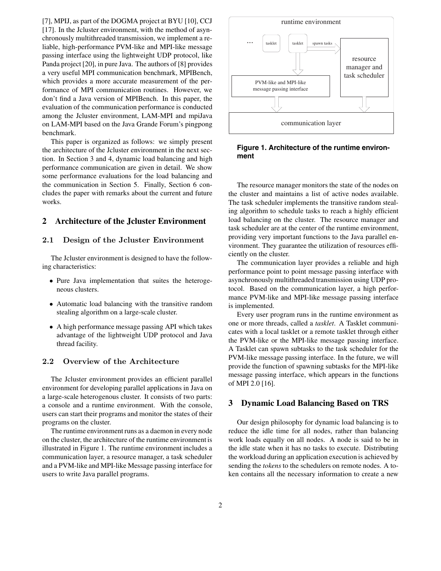[7], MPIJ, as part of the DOGMA project at BYU [10], CCJ [17]. In the Jcluster environment, with the method of asynchronously multithreaded transmission, we implement a reliable, high-performance PVM-like and MPI-like message passing interface using the lightweight UDP protocol, like Panda project [20], in pure Java. The authors of [8] provides a very useful MPI communication benchmark, MPIBench, which provides a more accurate measurement of the performance of MPI communication routines. However, we don't find a Java version of MPIBench. In this paper, the evaluation of the communication performance is conducted among the Jcluster environment, LAM-MPI and mpiJava on LAM-MPI based on the Java Grande Forum's pingpong benchmark.

This paper is organized as follows: we simply present the architecture of the Jcluster environment in the next section. In Section 3 and 4, dynamic load balancing and high performance communication are given in detail. We show some performance evaluations for the load balancing and the communication in Section 5. Finally, Section 6 concludes the paper with remarks about the current and future works.

## **2 Architecture of the Jcluster Environment**

#### **2.1 Design of the Jcluster Environment**

The Jcluster environment is designed to have the following characteristics:

- Pure Java implementation that suites the heterogeneous clusters.
- Automatic load balancing with the transitive random stealing algorithm on a large-scale cluster.
- A high performance message passing API which takes advantage of the lightweight UDP protocol and Java thread facility.

#### $2.2$

The Jcluster environment provides an efficient parallel environment for developing parallel applications in Java on a large-scale heterogenous cluster. It consists of two parts: a console and a runtime environment. With the console, users can start their programs and monitor the states of their programs on the cluster.

The runtime environment runs as a daemon in every node on the cluster, the architecture of the runtime environment is illustrated in Figure 1. The runtime environment includes a communication layer, a resource manager, a task scheduler and a PVM-like and MPI-like Message passing interface for users to write Java parallel programs.



**Figure 1. Architecture of the runtime environment**

The resource manager monitors the state of the nodes on the cluster and maintains a list of active nodes available. The task scheduler implements the transitive random stealing algorithm to schedule tasks to reach a highly efficient load balancing on the cluster. The resource manager and task scheduler are at the center of the runtime environment, providing very important functions to the Java parallel environment. They guarantee the utilization of resources efficiently on the cluster.

The communication layer provides a reliable and high performance point to point message passing interface with asynchronously multithreaded transmission using UDP protocol. Based on the communication layer, a high performance PVM-like and MPI-like message passing interface is implemented.

Every user program runs in the runtime environment as one or more threads, called a *tasklet*. A Tasklet communicates with a local tasklet or a remote tasklet through either the PVM-like or the MPI-like message passing interface. A Tasklet can spawn subtasks to the task scheduler for the PVM-like message passing interface. In the future, we will provide the function of spawning subtasks for the MPI-like message passing interface, which appears in the functions of MPI 2.0 [16].

#### **3 Dynamic Load Balancing Based on TRS**

Our design philosophy for dynamic load balancing is to reduce the idle time for all nodes, rather than balancing work loads equally on all nodes. A node is said to be in the idle state when it has no tasks to execute. Distributing the workload during an application execution is achieved by sending the *tokens* to the schedulers on remote nodes. A token contains all the necessary information to create a new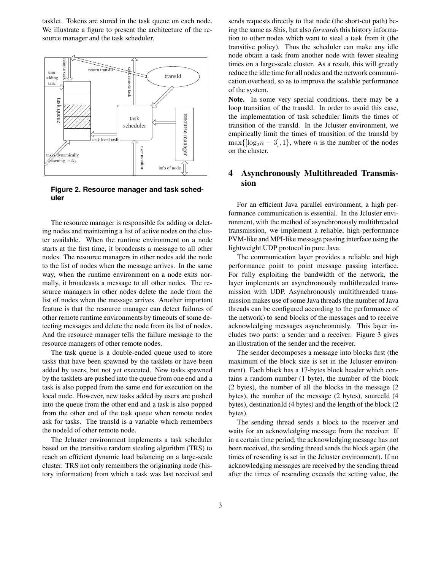tasklet. Tokens are stored in the task queue on each node. We illustrate a figure to present the architecture of the resource manager and the task scheduler.



**Figure 2. Resource manager and task scheduler**

The resource manager is responsible for adding or deleting nodes and maintaining a list of active nodes on the cluster available. When the runtime environment on a node starts at the first time, it broadcasts a message to all other nodes. The resource managers in other nodes add the node to the list of nodes when the message arrives. In the same way, when the runtime environment on a node exits normally, it broadcasts a message to all other nodes. The resource managers in other nodes delete the node from the list of nodes when the message arrives. Another important feature is that the resource manager can detect failures of other remote runtime environments by timeouts of some detecting messages and delete the node from its list of nodes. And the resource manager tells the failure message to the resource managers of other remote nodes.

The task queue is a double-ended queue used to store tasks that have been spawned by the tasklets or have been added by users, but not yet executed. New tasks spawned by the tasklets are pushed into the queue from one end and a task is also popped from the same end for execution on the local node. However, new tasks added by users are pushed into the queue from the other end and a task is also popped from the other end of the task queue when remote nodes ask for tasks. The transId is a variable which remembers the nodeId of other remote node.

The Jcluster environment implements a task scheduler based on the transitive random stealing algorithm (TRS) to reach an efficient dynamic load balancing on a large-scale cluster. TRS not only remembers the originating node (history information) from which a task was last received and

sends requests directly to that node (the short-cut path) being the same as Shis, but also *forwards* this history information to other nodes which want to steal a task from it (the transitive policy). Thus the scheduler can make any idle node obtain a task from another node with fewer stealing times on a large-scale cluster. As a result, this will greatly reduce the idle time for all nodes and the network communication overhead, so as to improve the scalable performance of the system.

**Note.** In some very special conditions, there may be a loop transition of the transId. In order to avoid this case, the implementation of task scheduler limits the times of transition of the transId. In the Jcluster environment, we empirically limit the times of transition of the transId by  $\max\{[\log_2 n - 3], 1\}$ , where *n* is the number of the nodes on the cluster.

### **4 Asynchronously Multithreaded Transmission**

For an efficient Java parallel environment, a high performance communication is essential. In the Jcluster environment, with the method of asynchronously multithreaded transmission, we implement a reliable, high-performance PVM-like and MPI-like message passing interface using the lightweight UDP protocol in pure Java.

The communication layer provides a reliable and high performance point to point message passing interface. For fully exploiting the bandwidth of the network, the layer implements an asynchronously multithreaded transmission with UDP. Asynchronously multithreaded transmission makes use of some Java threads (the number of Java threads can be configured according to the performance of the network) to send blocks of the messages and to receive acknowledging messages asynchronously. This layer includes two parts: a sender and a receiver. Figure 3 gives an illustration of the sender and the receiver.

The sender decomposes a message into blocks first (the maximum of the block size is set in the Jcluster environment). Each block has a 17-bytes block header which contains a random number (1 byte), the number of the block (2 bytes), the number of all the blocks in the message (2 bytes), the number of the message (2 bytes), sourceId (4 bytes), destinationId (4 bytes) and the length of the block (2 bytes).

The sending thread sends a block to the receiver and waits for an acknowledging message from the receiver. If in a certain time period, the acknowledging message has not been received, the sending thread sends the block again (the times of resending is set in the Jcluster environment). If no acknowledging messages are received by the sending thread after the times of resending exceeds the setting value, the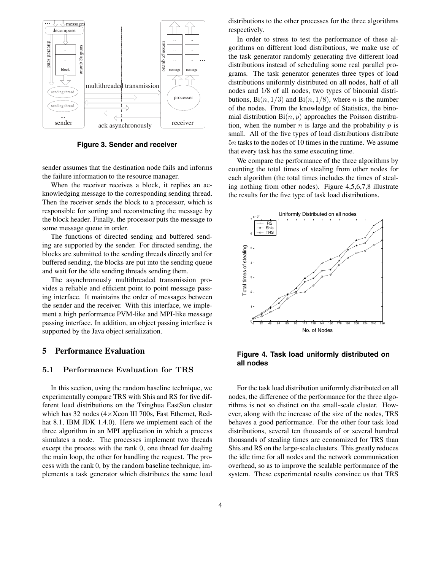

**Figure 3. Sender and receiver**

sender assumes that the destination node fails and informs the failure information to the resource manager.

When the receiver receives a block, it replies an acknowledging message to the corresponding sending thread. Then the receiver sends the block to a processor, which is responsible for sorting and reconstructing the message by the block header. Finally, the processor puts the message to some message queue in order.

The functions of directed sending and buffered sending are supported by the sender. For directed sending, the blocks are submitted to the sending threads directly and for buffered sending, the blocks are put into the sending queue and wait for the idle sending threads sending them.

The asynchronously multithreaded transmission provides a reliable and efficient point to point message passing interface. It maintains the order of messages between the sender and the receiver. With this interface, we implement a high performance PVM-like and MPI-like message passing interface. In addition, an object passing interface is supported by the Java object serialization.

#### **5 Performance Evaluation**

In this section, using the random baseline technique, we experimentally compare TRS with Shis and RS for five different load distributions on the Tsinghua EastSun cluster which has 32 nodes (4×Xeon III 700s, Fast Ethernet, Redhat 8.1, IBM JDK 1.4.0). Here we implement each of the three algorithm in an MPI application in which a process simulates a node. The processes implement two threads except the process with the rank 0, one thread for dealing the main loop, the other for handling the request. The process with the rank 0, by the random baseline technique, implements a task generator which distributes the same load

distributions to the other processes for the three algorithms respectively.

In order to stress to test the performance of these algorithms on different load distributions, we make use of the task generator randomly generating five different load distributions instead of scheduling some real parallel programs. The task generator generates three types of load distributions uniformly distributed on all nodes, half of all nodes and 1/8 of all nodes, two types of binomial distributions,  $\text{Bi}(n, 1/3)$  and  $\text{Bi}(n, 1/8)$ , where *n* is the number of the nodes. From the knowledge of Statistics, the binomial distribution  $\text{Bi}(n, p)$  approaches the Poisson distribution, when the number  $n$  is large and the probability  $p$  is small. All of the five types of load distributions distribute 5<sup>n</sup> tasks to the nodes of 10 times in the runtime. We assume that every task has the same executing time.

We compare the performance of the three algorithms by counting the total times of stealing from other nodes for each algorithm (the total times includes the times of stealing nothing from other nodes). Figure 4,5,6,7,8 illustrate the results for the five type of task load distributions.



**Figure 4. Task load uniformly distributed on all nodes**

For the task load distribution uniformly distributed on all nodes, the difference of the performance for the three algorithms is not so distinct on the small-scale cluster. However, along with the increase of the size of the nodes, TRS behaves a good performance. For the other four task load distributions, several ten thousands of or several hundred thousands of stealing times are economized for TRS than Shis and RS on the large-scale clusters. This greatly reduces the idle time for all nodes and the network communication overhead, so as to improve the scalable performance of the system. These experimental results convince us that TRS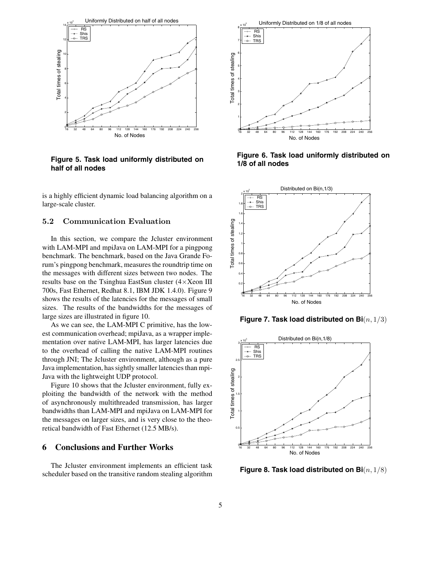

**Figure 5. Task load uniformly distributed on half of all nodes**

is a highly efficient dynamic load balancing algorithm on a large-scale cluster.

#### $5.2$ **Communication Evaluation**

In this section, we compare the Jcluster environment with LAM-MPI and mpiJava on LAM-MPI for a pingpong benchmark. The benchmark, based on the Java Grande Forum's pingpong benchmark, measures the roundtrip time on the messages with different sizes between two nodes. The results base on the Tsinghua EastSun cluster (4×Xeon III 700s, Fast Ethernet, Redhat 8.1, IBM JDK 1.4.0). Figure 9 shows the results of the latencies for the messages of small sizes. The results of the bandwidths for the messages of large sizes are illustrated in figure 10.

As we can see, the LAM-MPI C primitive, has the lowest communication overhead; mpiJava, as a wrapper implementation over native LAM-MPI, has larger latencies due to the overhead of calling the native LAM-MPI routines through JNI; The Jcluster environment, although as a pure Java implementation, has sightly smaller latencies than mpi-Java with the lightweight UDP protocol.

Figure 10 shows that the Jcluster environment, fully exploiting the bandwidth of the network with the method of asynchronously multithreaded transmission, has larger bandwidths than LAM-MPI and mpiJava on LAM-MPI for the messages on larger sizes, and is very close to the theoretical bandwidth of Fast Ethernet (12.5 MB/s).

#### **6 Conclusions and Further Works**

The Jcluster environment implements an efficient task scheduler based on the transitive random stealing algorithm



**Figure 6. Task load uniformly distributed on 1/8 of all nodes**



**Figure 7. Task load distributed on Bi**(n, 1/3)



**Figure 8. Task load distributed on Bi**(n, 1/8)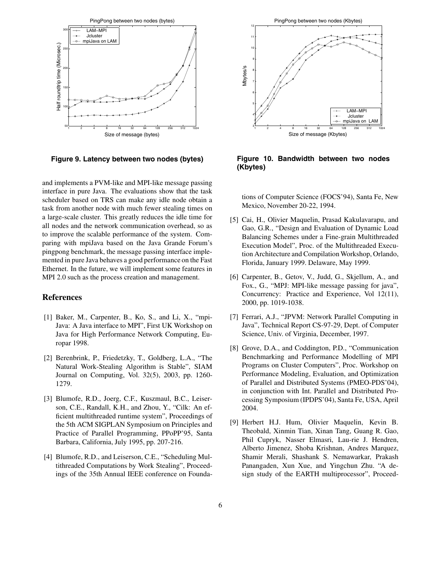

**Figure 9. Latency between two nodes (bytes)**

and implements a PVM-like and MPI-like message passing interface in pure Java. The evaluations show that the task scheduler based on TRS can make any idle node obtain a task from another node with much fewer stealing times on a large-scale cluster. This greatly reduces the idle time for all nodes and the network communication overhead, so as to improve the scalable performance of the system. Comparing with mpiJava based on the Java Grande Forum's pingpong benchmark, the message passing interface implemented in pure Java behaves a good performance on the Fast Ethernet. In the future, we will implement some features in MPI 2.0 such as the process creation and management.

### **References**

- [1] Baker, M., Carpenter, B., Ko, S., and Li, X., "mpi-Java: A Java interface to MPI", First UK Workshop on Java for High Performance Network Computing, Europar 1998.
- [2] Berenbrink, P., Friedetzky, T., Goldberg, L.A., "The Natural Work-Stealing Algorithm is Stable", SIAM Journal on Computing, Vol. 32(5), 2003, pp. 1260- 1279.
- [3] Blumofe, R.D., Joerg, C.F., Kuszmaul, B.C., Leiserson, C.E., Randall, K.H., and Zhou, Y., "Cilk: An efficient multithreaded runtime system", Proceedings of the 5th ACM SIGPLAN Symposium on Principles and Practice of Parallel Programming, PPoPP'95, Santa Barbara, California, July 1995, pp. 207-216.
- [4] Blumofe, R.D., and Leiserson, C.E., "Scheduling Multithreaded Computations by Work Stealing", Proceedings of the 35th Annual IEEE conference on Founda-



**Figure 10. Bandwidth between two nodes (Kbytes)**

tions of Computer Science (FOCS'94), Santa Fe, New Mexico, November 20-22, 1994.

- [5] Cai, H., Olivier Maquelin, Prasad Kakulavarapu, and Gao, G.R., "Design and Evaluation of Dynamic Load Balancing Schemes under a Fine-grain Multithreaded Execution Model", Proc. of the Multithreaded Execution Architecture and Compilation Workshop, Orlando, Florida, January 1999. Delaware, May 1999.
- [6] Carpenter, B., Getov, V., Judd, G., Skjellum, A., and Fox., G., "MPJ: MPI-like message passing for java", Concurrency: Practice and Experience, Vol 12(11), 2000, pp. 1019-1038.
- [7] Ferrari, A.J., "JPVM: Network Parallel Computing in Java", Technical Report CS-97-29, Dept. of Computer Science, Univ. of Virginia, December, 1997.
- [8] Grove, D.A., and Coddington, P.D., "Communication Benchmarking and Performance Modelling of MPI Programs on Cluster Computers", Proc. Workshop on Performance Modeling, Evaluation, and Optimization of Parallel and Distributed Systems (PMEO-PDS'04), in conjunction with Int. Parallel and Distributed Processing Symposium (IPDPS'04), Santa Fe, USA, April 2004.
- [9] Herbert H.J. Hum, Olivier Maquelin, Kevin B. Theobald, Xinmin Tian, Xinan Tang, Guang R. Gao, Phil Cupryk, Nasser Elmasri, Lau-rie J. Hendren, Alberto Jimenez, Shoba Krishnan, Andres Marquez, Shamir Merali, Shashank S. Nemawarkar, Prakash Panangaden, Xun Xue, and Yingchun Zhu. "A design study of the EARTH multiprocessor", Proceed-